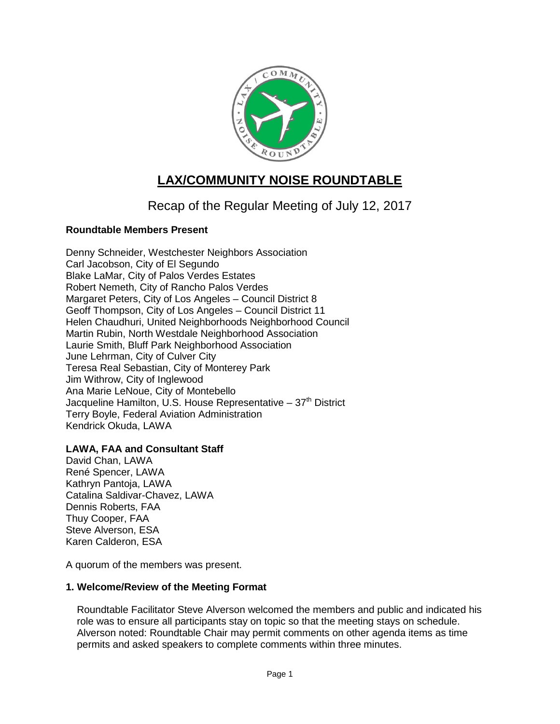

# **LAX/COMMUNITY NOISE ROUNDTABLE**

Recap of the Regular Meeting of July 12, 2017

## **Roundtable Members Present**

Denny Schneider, Westchester Neighbors Association Carl Jacobson, City of El Segundo Blake LaMar, City of Palos Verdes Estates Robert Nemeth, City of Rancho Palos Verdes Margaret Peters, City of Los Angeles – Council District 8 Geoff Thompson, City of Los Angeles – Council District 11 Helen Chaudhuri, United Neighborhoods Neighborhood Council Martin Rubin, North Westdale Neighborhood Association Laurie Smith, Bluff Park Neighborhood Association June Lehrman, City of Culver City Teresa Real Sebastian, City of Monterey Park Jim Withrow, City of Inglewood Ana Marie LeNoue, City of Montebello Jacqueline Hamilton, U.S. House Representative  $-37<sup>th</sup>$  District Terry Boyle, Federal Aviation Administration Kendrick Okuda, LAWA

## **LAWA, FAA and Consultant Staff**

David Chan, LAWA René Spencer, LAWA Kathryn Pantoja, LAWA Catalina Saldivar-Chavez, LAWA Dennis Roberts, FAA Thuy Cooper, FAA Steve Alverson, ESA Karen Calderon, ESA

A quorum of the members was present.

#### **1. Welcome/Review of the Meeting Format**

Roundtable Facilitator Steve Alverson welcomed the members and public and indicated his role was to ensure all participants stay on topic so that the meeting stays on schedule. Alverson noted: Roundtable Chair may permit comments on other agenda items as time permits and asked speakers to complete comments within three minutes.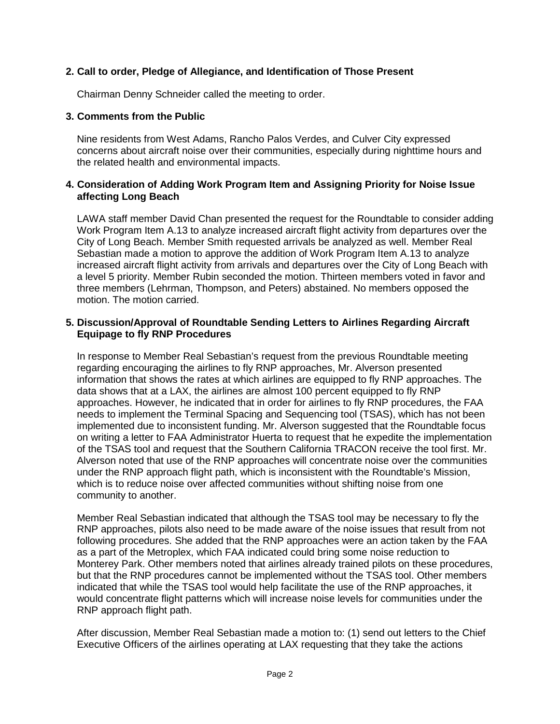## **2. Call to order, Pledge of Allegiance, and Identification of Those Present**

Chairman Denny Schneider called the meeting to order.

#### **3. Comments from the Public**

Nine residents from West Adams, Rancho Palos Verdes, and Culver City expressed concerns about aircraft noise over their communities, especially during nighttime hours and the related health and environmental impacts.

#### **4. Consideration of Adding Work Program Item and Assigning Priority for Noise Issue affecting Long Beach**

LAWA staff member David Chan presented the request for the Roundtable to consider adding Work Program Item A.13 to analyze increased aircraft flight activity from departures over the City of Long Beach. Member Smith requested arrivals be analyzed as well. Member Real Sebastian made a motion to approve the addition of Work Program Item A.13 to analyze increased aircraft flight activity from arrivals and departures over the City of Long Beach with a level 5 priority. Member Rubin seconded the motion. Thirteen members voted in favor and three members (Lehrman, Thompson, and Peters) abstained. No members opposed the motion. The motion carried.

#### **5. Discussion/Approval of Roundtable Sending Letters to Airlines Regarding Aircraft Equipage to fly RNP Procedures**

In response to Member Real Sebastian's request from the previous Roundtable meeting regarding encouraging the airlines to fly RNP approaches, Mr. Alverson presented information that shows the rates at which airlines are equipped to fly RNP approaches. The data shows that at a LAX, the airlines are almost 100 percent equipped to fly RNP approaches. However, he indicated that in order for airlines to fly RNP procedures, the FAA needs to implement the Terminal Spacing and Sequencing tool (TSAS), which has not been implemented due to inconsistent funding. Mr. Alverson suggested that the Roundtable focus on writing a letter to FAA Administrator Huerta to request that he expedite the implementation of the TSAS tool and request that the Southern California TRACON receive the tool first. Mr. Alverson noted that use of the RNP approaches will concentrate noise over the communities under the RNP approach flight path, which is inconsistent with the Roundtable's Mission, which is to reduce noise over affected communities without shifting noise from one community to another.

Member Real Sebastian indicated that although the TSAS tool may be necessary to fly the RNP approaches, pilots also need to be made aware of the noise issues that result from not following procedures. She added that the RNP approaches were an action taken by the FAA as a part of the Metroplex, which FAA indicated could bring some noise reduction to Monterey Park. Other members noted that airlines already trained pilots on these procedures, but that the RNP procedures cannot be implemented without the TSAS tool. Other members indicated that while the TSAS tool would help facilitate the use of the RNP approaches, it would concentrate flight patterns which will increase noise levels for communities under the RNP approach flight path.

After discussion, Member Real Sebastian made a motion to: (1) send out letters to the Chief Executive Officers of the airlines operating at LAX requesting that they take the actions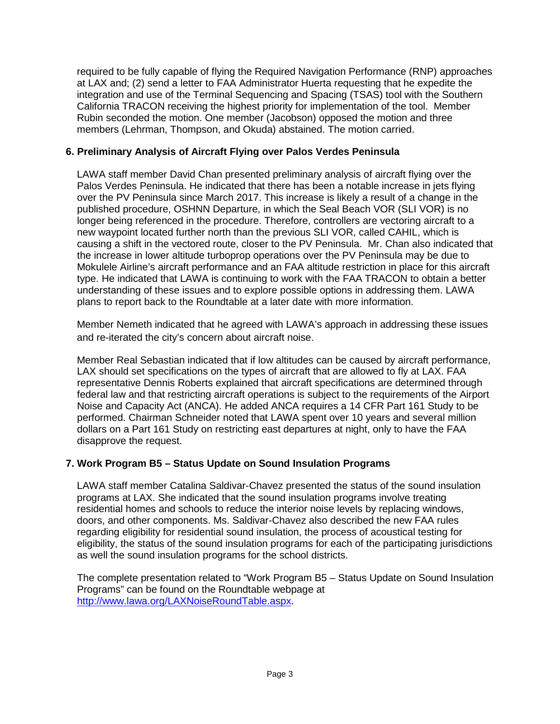required to be fully capable of flying the Required Navigation Performance (RNP) approaches at LAX and; (2) send a letter to FAA Administrator Huerta requesting that he expedite the integration and use of the Terminal Sequencing and Spacing (TSAS) tool with the Southern California TRACON receiving the highest priority for implementation of the tool. Member Rubin seconded the motion. One member (Jacobson) opposed the motion and three members (Lehrman, Thompson, and Okuda) abstained. The motion carried.

## **6. Preliminary Analysis of Aircraft Flying over Palos Verdes Peninsula**

LAWA staff member David Chan presented preliminary analysis of aircraft flying over the Palos Verdes Peninsula. He indicated that there has been a notable increase in jets flying over the PV Peninsula since March 2017. This increase is likely a result of a change in the published procedure, OSHNN Departure, in which the Seal Beach VOR (SLI VOR) is no longer being referenced in the procedure. Therefore, controllers are vectoring aircraft to a new waypoint located further north than the previous SLI VOR, called CAHIL, which is causing a shift in the vectored route, closer to the PV Peninsula. Mr. Chan also indicated that the increase in lower altitude turboprop operations over the PV Peninsula may be due to Mokulele Airline's aircraft performance and an FAA altitude restriction in place for this aircraft type. He indicated that LAWA is continuing to work with the FAA TRACON to obtain a better understanding of these issues and to explore possible options in addressing them. LAWA plans to report back to the Roundtable at a later date with more information.

Member Nemeth indicated that he agreed with LAWA's approach in addressing these issues and re-iterated the city's concern about aircraft noise.

Member Real Sebastian indicated that if low altitudes can be caused by aircraft performance, LAX should set specifications on the types of aircraft that are allowed to fly at LAX. FAA representative Dennis Roberts explained that aircraft specifications are determined through federal law and that restricting aircraft operations is subject to the requirements of the Airport Noise and Capacity Act (ANCA). He added ANCA requires a 14 CFR Part 161 Study to be performed. Chairman Schneider noted that LAWA spent over 10 years and several million dollars on a Part 161 Study on restricting east departures at night, only to have the FAA disapprove the request.

## **7. Work Program B5 – Status Update on Sound Insulation Programs**

LAWA staff member Catalina Saldivar-Chavez presented the status of the sound insulation programs at LAX. She indicated that the sound insulation programs involve treating residential homes and schools to reduce the interior noise levels by replacing windows, doors, and other components. Ms. Saldivar-Chavez also described the new FAA rules regarding eligibility for residential sound insulation, the process of acoustical testing for eligibility, the status of the sound insulation programs for each of the participating jurisdictions as well the sound insulation programs for the school districts.

The complete presentation related to "Work Program B5 – Status Update on Sound Insulation Programs" can be found on the Roundtable webpage at [http://www.lawa.org/LAXNoiseRoundTable.aspx.](http://www.lawa.org/LAXNoiseRoundTable.aspx)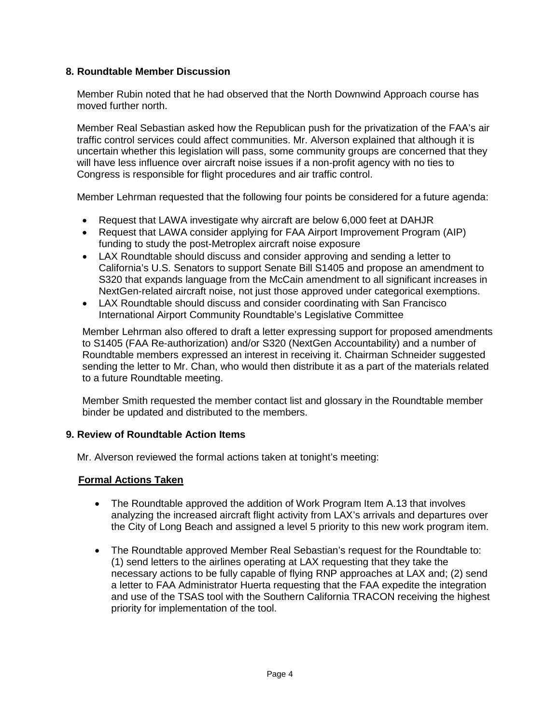## **8. Roundtable Member Discussion**

Member Rubin noted that he had observed that the North Downwind Approach course has moved further north.

Member Real Sebastian asked how the Republican push for the privatization of the FAA's air traffic control services could affect communities. Mr. Alverson explained that although it is uncertain whether this legislation will pass, some community groups are concerned that they will have less influence over aircraft noise issues if a non-profit agency with no ties to Congress is responsible for flight procedures and air traffic control.

Member Lehrman requested that the following four points be considered for a future agenda:

- Request that LAWA investigate why aircraft are below 6,000 feet at DAHJR
- Request that LAWA consider applying for FAA Airport Improvement Program (AIP) funding to study the post-Metroplex aircraft noise exposure
- LAX Roundtable should discuss and consider approving and sending a letter to California's U.S. Senators to support Senate Bill S1405 and propose an amendment to S320 that expands language from the McCain amendment to all significant increases in NextGen-related aircraft noise, not just those approved under categorical exemptions.
- LAX Roundtable should discuss and consider coordinating with San Francisco International Airport Community Roundtable's Legislative Committee

Member Lehrman also offered to draft a letter expressing support for proposed amendments to S1405 (FAA Re-authorization) and/or S320 (NextGen Accountability) and a number of Roundtable members expressed an interest in receiving it. Chairman Schneider suggested sending the letter to Mr. Chan, who would then distribute it as a part of the materials related to a future Roundtable meeting.

Member Smith requested the member contact list and glossary in the Roundtable member binder be updated and distributed to the members.

#### **9. Review of Roundtable Action Items**

Mr. Alverson reviewed the formal actions taken at tonight's meeting:

## **Formal Actions Taken**

- The Roundtable approved the addition of Work Program Item A.13 that involves analyzing the increased aircraft flight activity from LAX's arrivals and departures over the City of Long Beach and assigned a level 5 priority to this new work program item.
- The Roundtable approved Member Real Sebastian's request for the Roundtable to: (1) send letters to the airlines operating at LAX requesting that they take the necessary actions to be fully capable of flying RNP approaches at LAX and; (2) send a letter to FAA Administrator Huerta requesting that the FAA expedite the integration and use of the TSAS tool with the Southern California TRACON receiving the highest priority for implementation of the tool.